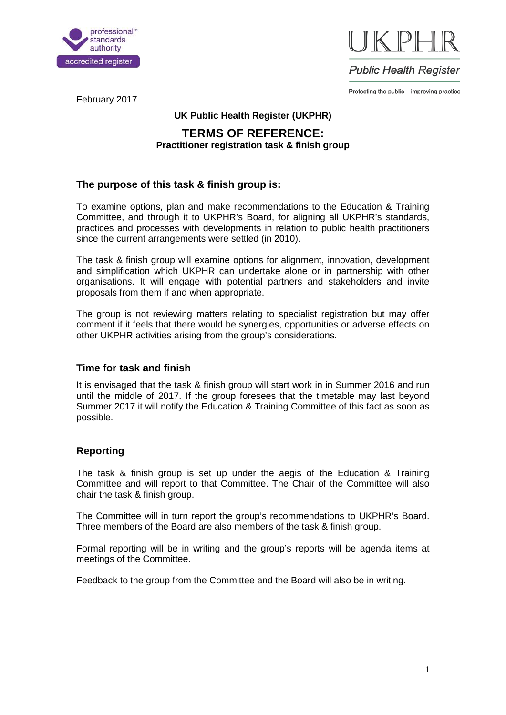



Protecting the public - improving practice

February 2017

#### **UK Public Health Register (UKPHR)**

# **TERMS OF REFERENCE: Practitioner registration task & finish group**

## **The purpose of this task & finish group is:**

To examine options, plan and make recommendations to the Education & Training Committee, and through it to UKPHR's Board, for aligning all UKPHR's standards, practices and processes with developments in relation to public health practitioners since the current arrangements were settled (in 2010).

The task & finish group will examine options for alignment, innovation, development and simplification which UKPHR can undertake alone or in partnership with other organisations. It will engage with potential partners and stakeholders and invite proposals from them if and when appropriate.

The group is not reviewing matters relating to specialist registration but may offer comment if it feels that there would be synergies, opportunities or adverse effects on other UKPHR activities arising from the group's considerations.

## **Time for task and finish**

It is envisaged that the task & finish group will start work in in Summer 2016 and run until the middle of 2017. If the group foresees that the timetable may last beyond Summer 2017 it will notify the Education & Training Committee of this fact as soon as possible.

## **Reporting**

The task & finish group is set up under the aegis of the Education & Training Committee and will report to that Committee. The Chair of the Committee will also chair the task & finish group.

The Committee will in turn report the group's recommendations to UKPHR's Board. Three members of the Board are also members of the task & finish group.

Formal reporting will be in writing and the group's reports will be agenda items at meetings of the Committee.

Feedback to the group from the Committee and the Board will also be in writing.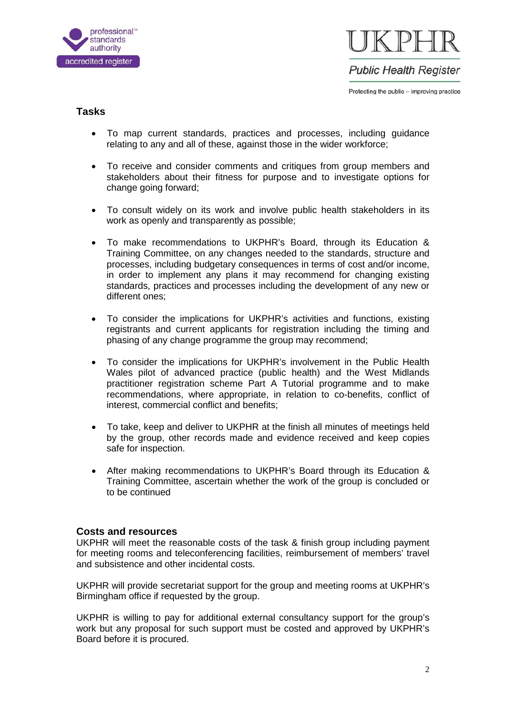



Protecting the public - improving practice

## **Tasks**

- To map current standards, practices and processes, including guidance relating to any and all of these, against those in the wider workforce;
- To receive and consider comments and critiques from group members and stakeholders about their fitness for purpose and to investigate options for change going forward;
- To consult widely on its work and involve public health stakeholders in its work as openly and transparently as possible;
- To make recommendations to UKPHR's Board, through its Education & Training Committee, on any changes needed to the standards, structure and processes, including budgetary consequences in terms of cost and/or income, in order to implement any plans it may recommend for changing existing standards, practices and processes including the development of any new or different ones;
- To consider the implications for UKPHR's activities and functions, existing registrants and current applicants for registration including the timing and phasing of any change programme the group may recommend;
- To consider the implications for UKPHR's involvement in the Public Health Wales pilot of advanced practice (public health) and the West Midlands practitioner registration scheme Part A Tutorial programme and to make recommendations, where appropriate, in relation to co-benefits, conflict of interest, commercial conflict and benefits;
- To take, keep and deliver to UKPHR at the finish all minutes of meetings held by the group, other records made and evidence received and keep copies safe for inspection.
- After making recommendations to UKPHR's Board through its Education & Training Committee, ascertain whether the work of the group is concluded or to be continued

#### **Costs and resources**

UKPHR will meet the reasonable costs of the task & finish group including payment for meeting rooms and teleconferencing facilities, reimbursement of members' travel and subsistence and other incidental costs.

UKPHR will provide secretariat support for the group and meeting rooms at UKPHR's Birmingham office if requested by the group.

UKPHR is willing to pay for additional external consultancy support for the group's work but any proposal for such support must be costed and approved by UKPHR's Board before it is procured.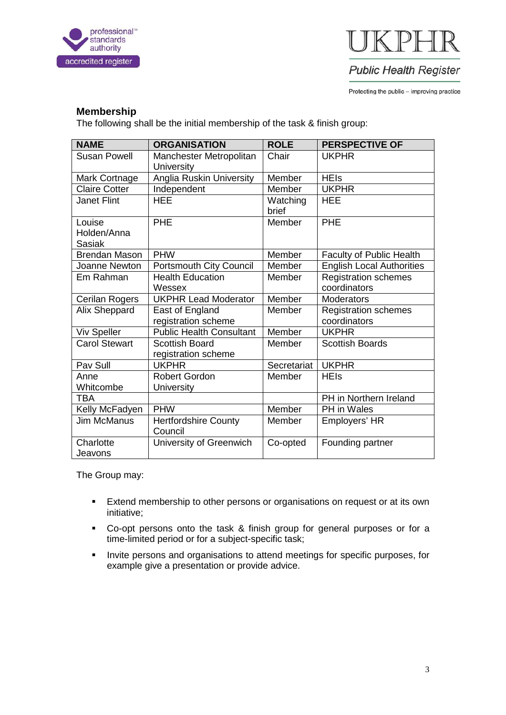



**Public Health Register** 

Protecting the public - improving practice

#### **Membership**

The following shall be the initial membership of the task & finish group:

| <b>NAME</b>                            | <b>ORGANISATION</b>                    | <b>ROLE</b>       | <b>PERSPECTIVE OF</b>            |
|----------------------------------------|----------------------------------------|-------------------|----------------------------------|
| <b>Susan Powell</b>                    | Manchester Metropolitan<br>University  | Chair             | <b>UKPHR</b>                     |
| Mark Cortnage                          | Anglia Ruskin University               | Member            | <b>HEIs</b>                      |
| <b>Claire Cotter</b>                   | Independent                            | Member            | <b>UKPHR</b>                     |
| <b>Janet Flint</b>                     | <b>HEE</b>                             | Watching<br>brief | <b>HEE</b>                       |
| Louise<br>Holden/Anna<br><b>Sasiak</b> | <b>PHE</b>                             | Member            | PHE                              |
| <b>Brendan Mason</b>                   | <b>PHW</b>                             | Member            | Faculty of Public Health         |
| Joanne Newton                          | <b>Portsmouth City Council</b>         | Member            | <b>English Local Authorities</b> |
| Em Rahman                              | <b>Health Education</b>                | Member            | <b>Registration schemes</b>      |
|                                        | Wessex                                 |                   | coordinators                     |
| Cerilan Rogers                         | <b>UKPHR Lead Moderator</b>            | Member            | Moderators                       |
| Alix Sheppard                          | East of England                        | Member            | <b>Registration schemes</b>      |
|                                        | registration scheme                    |                   | coordinators                     |
| <b>Viv Speller</b>                     | <b>Public Health Consultant</b>        | Member            | <b>UKPHR</b>                     |
| <b>Carol Stewart</b>                   | <b>Scottish Board</b>                  | Member            | <b>Scottish Boards</b>           |
|                                        | registration scheme                    |                   |                                  |
| Pav Sull                               | <b>UKPHR</b>                           | Secretariat       | <b>UKPHR</b>                     |
| Anne                                   | <b>Robert Gordon</b>                   | Member            | <b>HEIs</b>                      |
| Whitcombe                              | University                             |                   |                                  |
| <b>TBA</b>                             |                                        |                   | PH in Northern Ireland           |
| Kelly McFadyen                         | <b>PHW</b>                             | Member            | PH in Wales                      |
| <b>Jim McManus</b>                     | <b>Hertfordshire County</b><br>Council | Member            | Employers' HR                    |
| Charlotte<br>Jeavons                   | University of Greenwich                | Co-opted          | Founding partner                 |

The Group may:

- **Extend membership to other persons or organisations on request or at its own** initiative;
- Co-opt persons onto the task & finish group for general purposes or for a time-limited period or for a subject-specific task;
- **Invite persons and organisations to attend meetings for specific purposes, for** example give a presentation or provide advice.